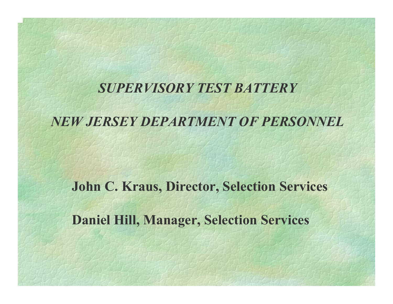#### *SUPERVISORY TEST BATTERY*

#### *NEW JERSEY DEPARTMENT OF PERSONNEL*

**John C. Kraus, Director, Selection Services Daniel Hill, Manager, Selection Services**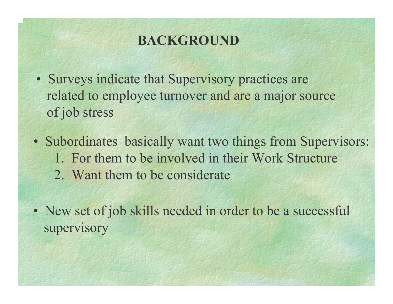# **BACKGROUND**

- Surveys indicate that Supervisory practices are related to employee turnover and are a major source of job stress
- Subordinates basically want two things from Supervisors: 1. For them to be involved in their Work Structure2. Want them to be considerate
- New set of job skills needed in order to be a successful supervisory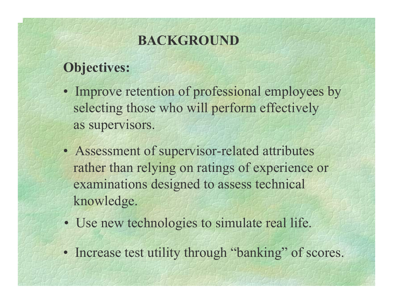# **BACKGROUND**

# **Objectives:**

- Improve retention of professional employees by selecting those who will perform effectively as supervisors.
- Assessment of supervisor-related attributes rather than relying on ratings of experience or examinations designed to assess technical knowledge.
- Use new technologies to simulate real life.
- Increase test utility through "banking" of scores.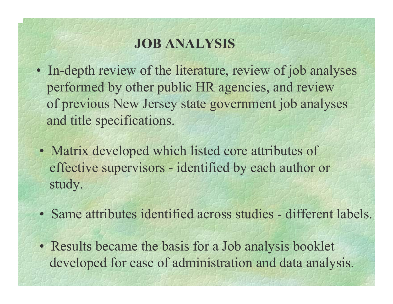- In-depth review of the literature, review of job analyses performed by other public HR agencies, and review of previous New Jersey state government job analyses and title specifications.
- Matrix developed which listed core attributes of effective supervisors - identified by each author or study.
- Same attributes identified across studies different labels.
- Results became the basis for a Job analysis booklet developed for ease of administration and data analysis.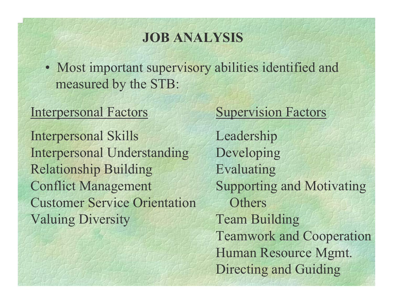• Most important supervisory abilities identified and measured by the STB:

#### Interpersonal Factors

Interpersonal Skills Interpersonal Understanding Relationship Building Conflict Management Customer Service OrientationValuing Diversity

#### Supervision Factors

Leadership Developing Evaluating Supporting and Motivating **Others** Team Building Teamwork and Cooperation Human Resource Mgmt. Directing and Guiding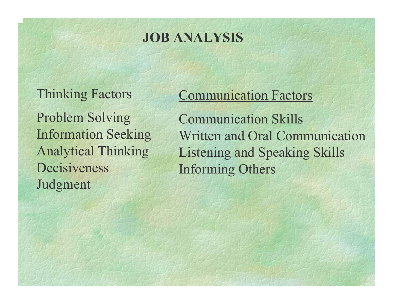#### Thinking Factors

Problem Solving Information Seeking Analytical Thinking DecisivenessJudgment

# Communication Factors

Communication Skills Written and Oral CommunicationListening and Speaking Skills Informing Others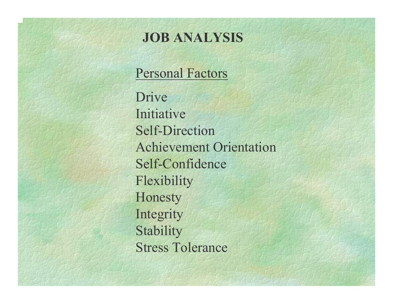### Personal Factors

DriveInitiative Self-Direction Achievement Orientation Self-Confidence Flexibility Honesty Integrity **Stability** Stress Tolerance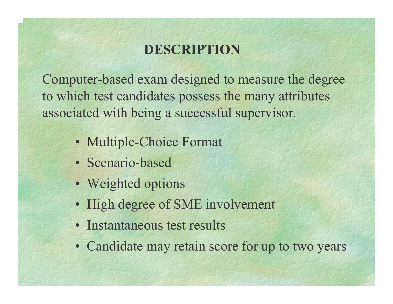# **DESCRIPTION**

Computer-based exam designed to measure the degree to which test candidates possess the many attributes associated with being a successful supervisor.

- Multiple-Choice Format
- Scenario-based
- Weighted options
- High degree of SME involvement
- Instantaneous test results
- Candidate may retain score for up to two years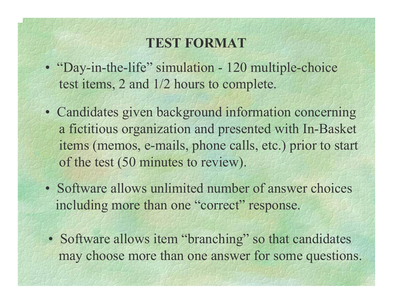#### **TEST FORMAT**

- "Day-in-the-life" simulation 120 multiple-choice test items, 2 and 1/2 hours to complete.
- Candidates given background information concerning a fictitious organization and presented with In-Basket items (memos, e-mails, phone calls, etc.) prior to start of the test (50 minutes to review).
- Software allows unlimited number of answer choices including more than one "correct" response.
- Software allows item "branching" so that candidates may choose more than one answer for some questions.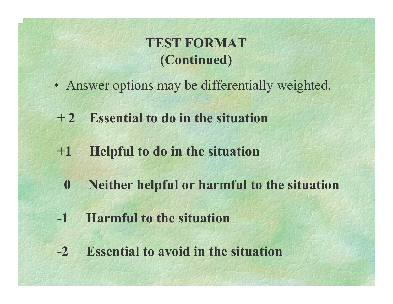# **TEST FORMAT(Continued)**

- Answer options may be differentially weighted.
- **+ 2 Essential to do in the situation**
- **+1 Helpful to do in the situation**
	- **0 Neither helpful or harmful to the situation**
- **-1 Harmful to the situation**
- **-2 Essential to avoid in the situation**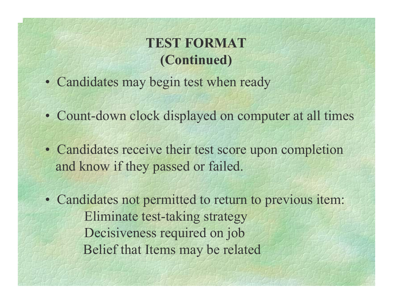# **TEST FORMAT (Continued)**

- Candidates may begin test when ready
- Count-down clock displayed on computer at all times
- Candidates receive their test score upon completion and know if they passed or failed.
- Candidates not permitted to return to previous item: Eliminate test-taking strategy Decisiveness required on job Belief that Items may be related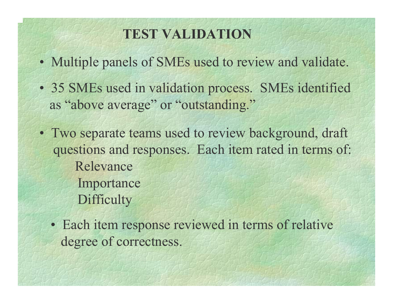# **TEST VALIDATION**

- Multiple panels of SMEs used to review and validate.
- 35 SMEs used in validation process. SMEs identified as "above average" or "outstanding."
- Two separate teams used to review background, draft questions and responses. Each item rated in terms of: RelevanceImportance **Difficulty** 
	- Each item response reviewed in terms of relative degree of correctness.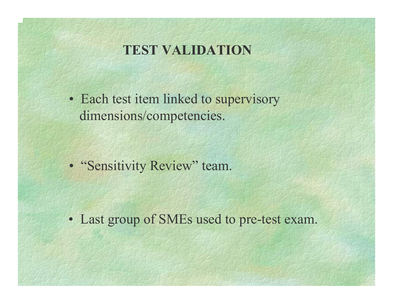### **TEST VALIDATION**

• Each test item linked to supervisory dimensions/competencies.

• "Sensitivity Review" team.

• Last group of SMEs used to pre-test exam.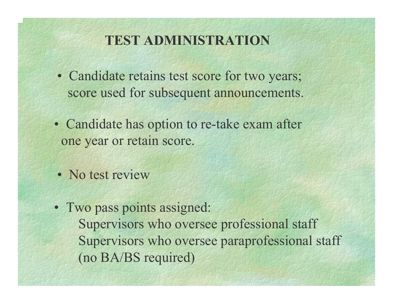## **TEST ADMINISTRATION**

- Candidate retains test score for two years; score used for subsequent announcements.
- Candidate has option to re-take exam after one year or retain score.
- No test review
- Two pass points assigned: Supervisors who oversee professional staff Supervisors who oversee paraprofessional staff (no BA/BS required)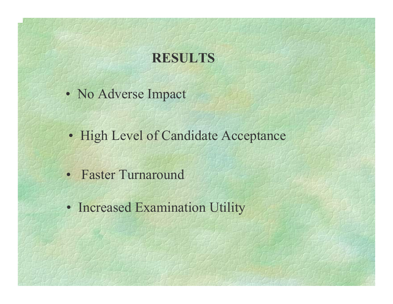## **RESULTS**

- No Adverse Impact
- High Level of Candidate Acceptance
- Faster Turnaround
- Increased Examination Utility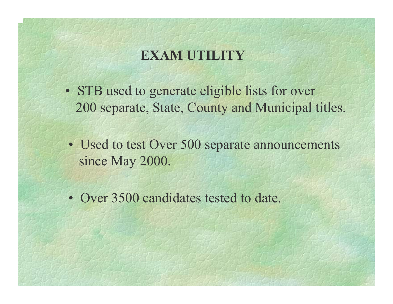# **EXAM UTILITY**

- STB used to generate eligible lists for over 200 separate, State, County and Municipal titles.
- Used to test Over 500 separate announcements since May 2000.
- Over 3500 candidates tested to date.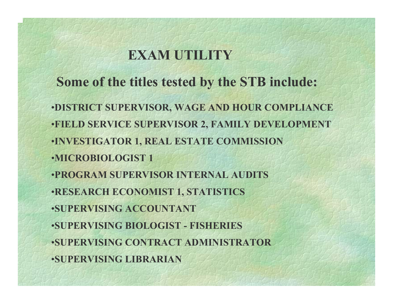# **EXAM UTILITY**

**Some of the titles tested by the STB include:** •**DISTRICT SUPERVISOR, WAGE AND HOUR COMPLIANCE** •**FIELD SERVICE SUPERVISOR 2, FAMILY DEVELOPMENT** •**INVESTIGATOR 1, REAL ESTATE COMMISSION** •**MICROBIOLOGIST 1**•**PROGRAM SUPERVISOR INTERNAL AUDITS**•**RESEARCH ECONOMIST 1, STATISTICS** •**SUPERVISING ACCOUNTANT**•**SUPERVISING BIOLOGIST - FISHERIES**  •**SUPERVISING CONTRACT ADMINISTRATOR**•**SUPERVISING LIBRARIAN**